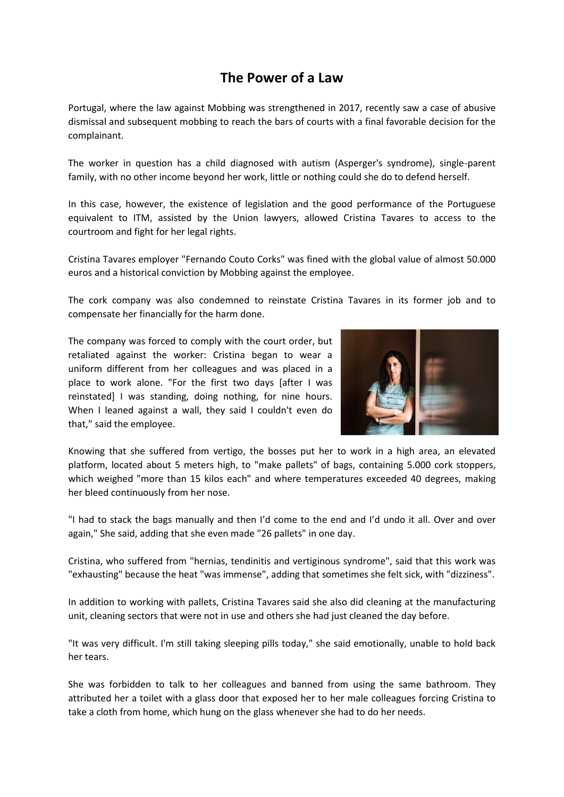## **The Power of a Law**

Portugal, where the law against Mobbing was strengthened in 2017, recently saw a case of abusive dismissal and subsequent mobbing to reach the bars of courts with a final favorable decision for the complainant.

The worker in question has a child diagnosed with autism (Asperger's syndrome), single-parent family, with no other income beyond her work, little or nothing could she do to defend herself.

In this case, however, the existence of legislation and the good performance of the Portuguese equivalent to ITM, assisted by the Union lawyers, allowed Cristina Tavares to access to the courtroom and fight for her legal rights.

Cristina Tavares employer "Fernando Couto Corks" was fined with the global value of almost 50.000 euros and a historical conviction by Mobbing against the employee.

The cork company was also condemned to reinstate Cristina Tavares in its former job and to compensate her financially for the harm done.

The company was forced to comply with the court order, but retaliated against the worker: Cristina began to wear a uniform different from her colleagues and was placed in a place to work alone. "For the first two days [after I was reinstated] I was standing, doing nothing, for nine hours. When I leaned against a wall, they said I couldn't even do that," said the employee.



Knowing that she suffered from vertigo, the bosses put her to work in a high area, an elevated platform, located about 5 meters high, to "make pallets" of bags, containing 5.000 cork stoppers, which weighed "more than 15 kilos each" and where temperatures exceeded 40 degrees, making her bleed continuously from her nose.

"I had to stack the bags manually and then I'd come to the end and I'd undo it all. Over and over again," She said, adding that she even made "26 pallets" in one day.

Cristina, who suffered from "hernias, tendinitis and vertiginous syndrome", said that this work was "exhausting" because the heat "was immense", adding that sometimes she felt sick, with "dizziness".

In addition to working with pallets, Cristina Tavares said she also did cleaning at the manufacturing unit, cleaning sectors that were not in use and others she had just cleaned the day before.

"It was very difficult. I'm still taking sleeping pills today," she said emotionally, unable to hold back her tears.

She was forbidden to talk to her colleagues and banned from using the same bathroom. They attributed her a toilet with a glass door that exposed her to her male colleagues forcing Cristina to take a cloth from home, which hung on the glass whenever she had to do her needs.